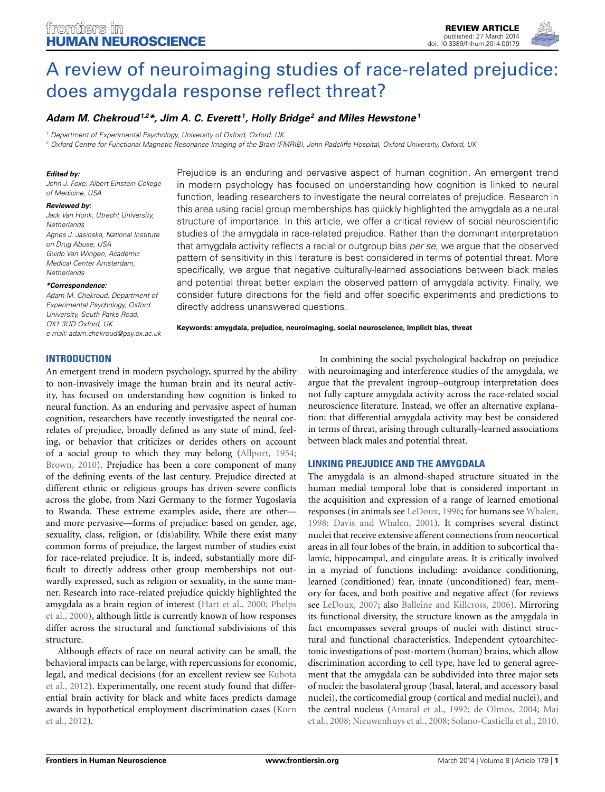

# [A review of neuroimaging studies of race-related prejudice:](http://www.frontiersin.org/journal/10.3389/fnhum.2014.00179/abstract) does amygdala response reflect threat?

# *[Adam M. Chekroud](http://community.frontiersin.org/people/u/132499)1,2\*, [Jim A. C. Everett](http://community.frontiersin.org/people/u/143690) 1, [Holly Bridge2](http://community.frontiersin.org/people/u/30975) and Miles Hewstone1*

*<sup>1</sup> Department of Experimental Psychology, University of Oxford, Oxford, UK*

*<sup>2</sup> Oxford Centre for Functional Magnetic Resonance Imaging of the Brain (FMRIB), John Radcliffe Hospital, Oxford University, Oxford, UK*

#### *Edited by:*

*John J. Foxe, Albert Einstein College of Medicine, USA*

#### *Reviewed by:*

*Jack Van Honk, Utrecht University, Netherlands Agnes J. Jasinska, National Institute on Drug Abuse, USA Guido Van Wingen, Academic Medical Center Amsterdam, Netherlands*

#### *\*Correspondence:*

*Adam M. Chekroud, Department of Experimental Psychology, Oxford University, South Parks Road, OX1 3UD Oxford, UK e-mail: [adam.chekroud@psy.ox.ac.uk](mailto:adam.chekroud@psy.ox.ac.uk)*

Prejudice is an enduring and pervasive aspect of human cognition. An emergent trend in modern psychology has focused on understanding how cognition is linked to neural function, leading researchers to investigate the neural correlates of prejudice. Research in this area using racial group memberships has quickly highlighted the amygdala as a neural structure of importance. In this article, we offer a critical review of social neuroscientific studies of the amygdala in race-related prejudice. Rather than the dominant interpretation that amygdala activity reflects a racial or outgroup bias *per se*, we argue that the observed pattern of sensitivity in this literature is best considered in terms of potential threat. More specifically, we argue that negative culturally-learned associations between black males and potential threat better explain the observed pattern of amygdala activity. Finally, we consider future directions for the field and offer specific experiments and predictions to directly address unanswered questions.

**Keywords: amygdala, prejudice, neuroimaging, social neuroscience, implicit bias, threat**

## **INTRODUCTION**

An emergent trend in modern psychology, spurred by the ability to non-invasively image the human brain and its neural activity, has focused on understanding how cognition is linked to neural function. As an enduring and pervasive aspect of human cognition, researchers have recently investigated the neural correlates of prejudice, broadly defined as any state of mind, feeling, or behavior that criticizes or derides others on account of a social group to which they may belong [\(Allport](#page-8-0), [1954;](#page-8-0) [Brown, 2010](#page-8-1)). Prejudice has been a core component of many of the defining events of the last century. Prejudice directed at different ethnic or religious groups has driven severe conflicts across the globe, from Nazi Germany to the former Yugoslavia to Rwanda. These extreme examples aside, there are other and more pervasive—forms of prejudice: based on gender, age, sexuality, class, religion, or (dis)ability. While there exist many common forms of prejudice, the largest number of studies exist for race-related prejudice. It is, indeed, substantially more difficult to directly address other group memberships not outwardly expressed, such as religion or sexuality, in the same manner. Research into race-related prejudice quickly highlighted the amy[gdala](#page-9-1) [as](#page-9-1) [a](#page-9-1) [brain](#page-9-1) [region](#page-9-1) [of](#page-9-1) [interest](#page-9-1) [\(Hart et al.](#page-9-0)[,](#page-9-1) [2000](#page-9-0)[;](#page-9-1) Phelps et al., [2000\)](#page-9-1), although little is currently known of how responses differ across the structural and functional subdivisions of this structure.

Although effects of race on neural activity can be small, the behavioral impacts can be large, with repercussions for economic, legal[, and medical decisions \(for an excellent review see](#page-9-2) Kubota et al., [2012](#page-9-2)). Experimentally, one recent study found that differential brain activity for black and white faces predicts damage awa[rds](#page-9-3) [in](#page-9-3) [hypothetical](#page-9-3) [employment](#page-9-3) [discrimination](#page-9-3) [cases](#page-9-3) [\(](#page-9-3)Korn et al., [2012\)](#page-9-3).

In combining the social psychological backdrop on prejudice with neuroimaging and interference studies of the amygdala, we argue that the prevalent ingroup–outgroup interpretation does not fully capture amygdala activity across the race-related social neuroscience literature. Instead, we offer an alternative explanation: that differential amygdala activity may best be considered in terms of threat, arising through culturally-learned associations between black males and potential threat.

# **LINKING PREJUDICE AND THE AMYGDALA**

The amygdala is an almond-shaped structure situated in the human medial temporal lobe that is considered important in the acquisition and expression of a range of learned emotional responses (in animals see [LeDoux](#page-9-4), [1996;](#page-9-4) for humans see [Whalen,](#page-10-0) [1998](#page-10-0); [Davis and Whalen](#page-8-2), [2001](#page-8-2)). It comprises several distinct nuclei that receive extensive afferent connections from neocortical areas in all four lobes of the brain, in addition to subcortical thalamic, hippocampal, and cingulate areas. It is critically involved in a myriad of functions including: avoidance conditioning, learned (conditioned) fear, innate (unconditioned) fear, memory for faces, and both positive and negative affect (for reviews see [LeDoux](#page-9-5), [2007;](#page-9-5) also [Balleine and Killcross, 2006](#page-8-3)). Mirroring its functional diversity, the structure known as the amygdala in fact encompasses several groups of nuclei with distinct structural and functional characteristics. Independent cytoarchitectonic investigations of post-mortem (human) brains, which allow discrimination according to cell type, have led to general agreement that the amygdala can be subdivided into three major sets of nuclei: the basolateral group (basal, lateral, and accessory basal nuclei), the corticomedial group (cortical and medial nuclei), and the [central nucleus](#page-9-6) [\(Amaral et al.](#page-8-4)[,](#page-9-6) [1992](#page-8-4)[;](#page-9-6) [de Olmos, 2004](#page-8-5)[;](#page-9-6) Mai et al., [2008](#page-9-6); [Nieuwenhuys et al., 2008](#page-9-7); [Solano-Castiella et al.](#page-10-1), [2010,](#page-10-1)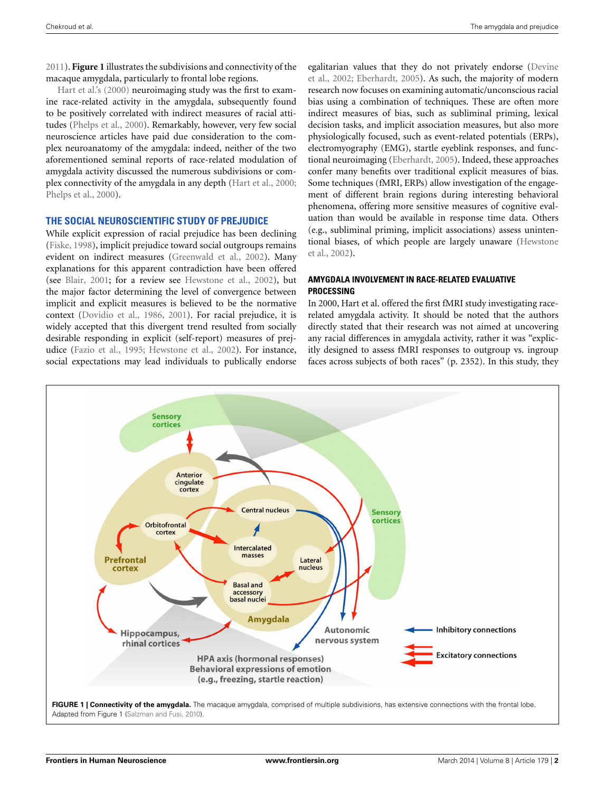[2011](#page-10-2)). **[Figure 1](#page-1-0)** illustrates the subdivisions and connectivity of the [macaque](#page-9-0) [amyg](#page-9-0)dala, particularly to frontal lobe regions.

Hart et al.'s [\(2000\)](#page-9-0) neuroimaging study was the first to examine race-related activity in the amygdala, subsequently found to be positively correlated with indirect measures of racial attitudes [\(Phelps et al.](#page-9-1), [2000](#page-9-1)). Remarkably, however, very few social neuroscience articles have paid due consideration to the complex neuroanatomy of the amygdala: indeed, neither of the two aforementioned seminal reports of race-related modulation of amygdala activity discussed the numerous subdivisions or complex connectivity of the amygdala in any depth [\(Hart et al., 2000;](#page-9-0) [Phelps et al.](#page-9-1), [2000](#page-9-1)).

## **THE SOCIAL NEUROSCIENTIFIC STUDY OF PREJUDICE**

While explicit expression of racial prejudice has been declining [\(Fiske, 1998\)](#page-9-8), implicit prejudice toward social outgroups remains evident on indirect measures [\(Greenwald et al., 2002\)](#page-9-9). Many explanations for this apparent contradiction have been offered (see [Blair](#page-8-6), [2001](#page-8-6); for a review see [Hewstone et al.](#page-9-10), [2002\)](#page-9-10), but the major factor determining the level of convergence between implicit and explicit measures is believed to be the normative context [\(Dovidio et al.](#page-9-11), [1986,](#page-9-11) [2001\)](#page-9-12). For racial prejudice, it is widely accepted that this divergent trend resulted from socially desirable responding in explicit (self-report) measures of prejudice [\(Fazio et al.](#page-9-13), [1995;](#page-9-13) [Hewstone et al., 2002\)](#page-9-10). For instance, social expectations may lead individuals to publically endorse

egali[tarian values that they do not privately endorse \(](#page-8-7)Devine et al., [2002;](#page-8-7) [Eberhardt](#page-9-14), [2005](#page-9-14)). As such, the majority of modern research now focuses on examining automatic/unconscious racial bias using a combination of techniques. These are often more indirect measures of bias, such as subliminal priming, lexical decision tasks, and implicit association measures, but also more physiologically focused, such as event-related potentials (ERPs), electromyography (EMG), startle eyeblink responses, and functional neuroimaging [\(Eberhardt](#page-9-14), [2005](#page-9-14)). Indeed, these approaches confer many benefits over traditional explicit measures of bias. Some techniques (fMRI, ERPs) allow investigation of the engagement of different brain regions during interesting behavioral phenomena, offering more sensitive measures of cognitive evaluation than would be available in response time data. Others (e.g., subliminal priming, implicit associations) assess unintention[al biases, of which people are largely unaware \(](#page-9-10)Hewstone et al., [2002\)](#page-9-10).

## **AMYGDALA INVOLVEMENT IN RACE-RELATED EVALUATIVE PROCESSING**

In 2000, Hart et al. offered the first fMRI study investigating racerelated amygdala activity. It should be noted that the authors directly stated that their research was not aimed at uncovering any racial differences in amygdala activity, rather it was "explicitly designed to assess fMRI responses to outgroup vs. ingroup faces across subjects of both races" (p. 2352). In this study, they

<span id="page-1-0"></span>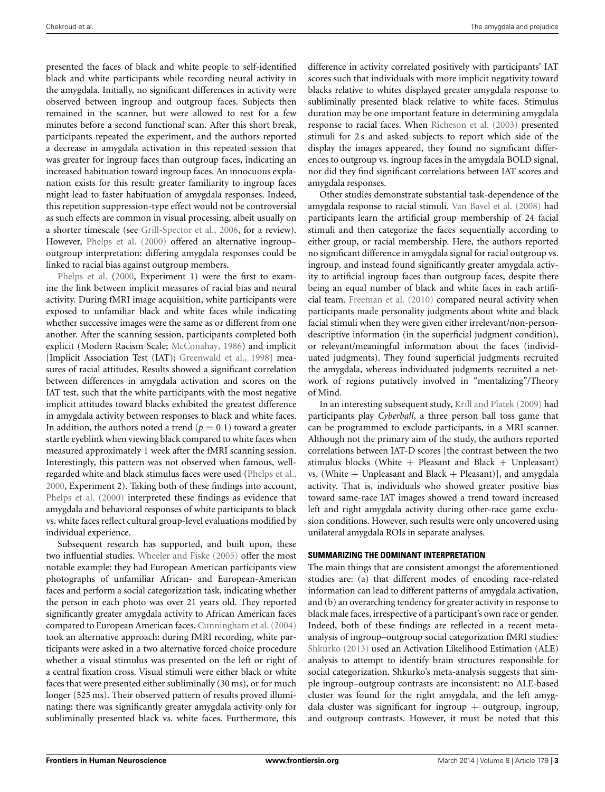presented the faces of black and white people to self-identified black and white participants while recording neural activity in the amygdala. Initially, no significant differences in activity were observed between ingroup and outgroup faces. Subjects then remained in the scanner, but were allowed to rest for a few minutes before a second functional scan. After this short break, participants repeated the experiment, and the authors reported a decrease in amygdala activation in this repeated session that was greater for ingroup faces than outgroup faces, indicating an increased habituation toward ingroup faces. An innocuous explanation exists for this result: greater familiarity to ingroup faces might lead to faster habituation of amygdala responses. Indeed, this repetition suppression-type effect would not be controversial as such effects are common in visual processing, albeit usually on a shorter timescale (see [Grill-Spector et al., 2006](#page-9-16), for a review). However, [Phelps et al.](#page-9-1) [\(2000](#page-9-1)) offered an alternative ingroup– outgroup interpretation: differing amygdala responses could be [linked](#page-9-1) [to](#page-9-1) [racial](#page-9-1) [b](#page-9-1)ias against outgroup members.

Phelps et al. [\(2000,](#page-9-1) Experiment 1) were the first to examine the link between implicit measures of racial bias and neural activity. During fMRI image acquisition, white participants were exposed to unfamiliar black and white faces while indicating whether successive images were the same as or different from one another. After the scanning session, participants completed both explicit (Modern Racism Scale; [McConahay, 1986](#page-9-17)) and implicit [Implicit Association Test (IAT); [Greenwald et al., 1998](#page-9-18)] measures of racial attitudes. Results showed a significant correlation between differences in amygdala activation and scores on the IAT test, such that the white participants with the most negative implicit attitudes toward blacks exhibited the greatest difference in amygdala activity between responses to black and white faces. In addition, the authors noted a trend  $(p = 0.1)$  toward a greater startle eyeblink when viewing black compared to white faces when measured approximately 1 week after the fMRI scanning session. Interestingly, this pattern was not observed when famous, wellregarded white and black stimulus faces were used [\(Phelps et al.,](#page-9-1) [2000](#page-9-1), Experiment 2). Taking both of these findings into account, [Phelps et al.](#page-9-1) [\(2000\)](#page-9-1) interpreted these findings as evidence that amygdala and behavioral responses of white participants to black vs. white faces reflect cultural group-level evaluations modified by individual experience.

Subsequent research has supported, and built upon, these two influential studies. [Wheeler and Fiske](#page-10-3) [\(2005\)](#page-10-3) offer the most notable example: they had European American participants view photographs of unfamiliar African- and European-American faces and perform a social categorization task, indicating whether the person in each photo was over 21 years old. They reported significantly greater amygdala activity to African American faces compared to European American faces. [Cunningham et al.](#page-8-8) [\(2004](#page-8-8)) took an alternative approach: during fMRI recording, white participants were asked in a two alternative forced choice procedure whether a visual stimulus was presented on the left or right of a central fixation cross. Visual stimuli were either black or white faces that were presented either subliminally (30 ms), or for much longer (525 ms). Their observed pattern of results proved illuminating: there was significantly greater amygdala activity only for subliminally presented black vs. white faces. Furthermore, this difference in activity correlated positively with participants' IAT scores such that individuals with more implicit negativity toward blacks relative to whites displayed greater amygdala response to subliminally presented black relative to white faces. Stimulus duration may be one important feature in determining amygdala response to racial faces. When [Richeson et al.](#page-9-19) [\(2003](#page-9-19)) presented stimuli for 2 s and asked subjects to report which side of the display the images appeared, they found no significant differences to outgroup vs. ingroup faces in the amygdala BOLD signal, nor did they find significant correlations between IAT scores and amygdala responses.

Other studies demonstrate substantial task-dependence of the amygdala response to racial stimuli. [Van Bavel et al.](#page-10-4) [\(2008](#page-10-4)) had participants learn the artificial group membership of 24 facial stimuli and then categorize the faces sequentially according to either group, or racial membership. Here, the authors reported no significant difference in amygdala signal for racial outgroup vs. ingroup, and instead found significantly greater amygdala activity to artificial ingroup faces than outgroup faces, despite there being an equal number of black and white faces in each artificial team. [Freeman et al.](#page-9-20) [\(2010](#page-9-20)) compared neural activity when participants made personality judgments about white and black facial stimuli when they were given either irrelevant/non-persondescriptive information (in the superficial judgment condition), or relevant/meaningful information about the faces (individuated judgments). They found superficial judgments recruited the amygdala, whereas individuated judgments recruited a network of regions putatively involved in "mentalizing"/Theory of Mind.

In an interesting subsequent study, [Krill and Platek](#page-9-21) [\(2009](#page-9-21)) had participants play *Cyberball*, a three person ball toss game that can be programmed to exclude participants, in a MRI scanner. Although not the primary aim of the study, the authors reported correlations between IAT-D scores [the contrast between the two stimulus blocks (White  $+$  Pleasant and Black  $+$  Unpleasant) vs. (White  $+$  Unpleasant and Black  $+$  Pleasant)], and amygdala activity. That is, individuals who showed greater positive bias toward same-race IAT images showed a trend toward increased left and right amygdala activity during other-race game exclusion conditions. However, such results were only uncovered using unilateral amygdala ROIs in separate analyses.

#### **SUMMARIZING THE DOMINANT INTERPRETATION**

The main things that are consistent amongst the aforementioned studies are: (a) that different modes of encoding race-related information can lead to different patterns of amygdala activation, and (b) an overarching tendency for greater activity in response to black male faces, irrespective of a participant's own race or gender. Indeed, both of these findings are reflected in a recent metaanalysis of ingroup–outgroup social categorization fMRI studies: [Shkurko](#page-10-5) [\(2013\)](#page-10-5) used an Activation Likelihood Estimation (ALE) analysis to attempt to identify brain structures responsible for social categorization. Shkurko's meta-analysis suggests that simple ingroup–outgroup contrasts are inconsistent: no ALE-based cluster was found for the right amygdala, and the left amygdala cluster was significant for ingroup  $+$  outgroup, ingroup, and outgroup contrasts. However, it must be noted that this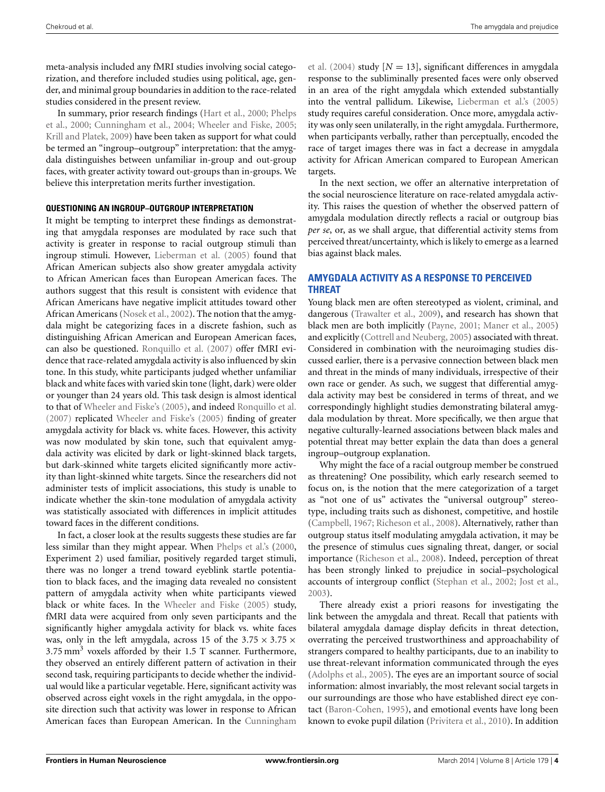meta-analysis included any fMRI studies involving social categorization, and therefore included studies using political, age, gender, and minimal group boundaries in addition to the race-related studies considered in the present review.

I[n summary, prior research findings](#page-9-1) [\(Hart et al.](#page-9-0)[,](#page-9-1) [2000](#page-9-0)[;](#page-9-1) Phelps et al., [2000;](#page-9-1) [Cunningham et al., 2004](#page-8-8); [Wheeler and Fiske, 2005;](#page-10-3) [Krill and Platek](#page-9-21), [2009\)](#page-9-21) have been taken as support for what could be termed an "ingroup–outgroup" interpretation: that the amygdala distinguishes between unfamiliar in-group and out-group faces, with greater activity toward out-groups than in-groups. We believe this interpretation merits further investigation.

#### **QUESTIONING AN INGROUP–OUTGROUP INTERPRETATION**

It might be tempting to interpret these findings as demonstrating that amygdala responses are modulated by race such that activity is greater in response to racial outgroup stimuli than ingroup stimuli. However, [Lieberman et al.](#page-9-22) [\(2005](#page-9-22)) found that African American subjects also show greater amygdala activity to African American faces than European American faces. The authors suggest that this result is consistent with evidence that African Americans have negative implicit attitudes toward other African Americans [\(Nosek et al., 2002](#page-9-23)). The notion that the amygdala might be categorizing faces in a discrete fashion, such as distinguishing African American and European American faces, can also be questioned. [Ronquillo et al.](#page-9-24) [\(2007](#page-9-24)) offer fMRI evidence that race-related amygdala activity is also influenced by skin tone. In this study, white participants judged whether unfamiliar black and white faces with varied skin tone (light, dark) were older or younger than 24 years old. This task design is almost identical to that of [Wheeler and Fiske's](#page-10-3) [\(2005\)](#page-10-3), and indeed [Ronquillo et al.](#page-9-24) [\(2007\)](#page-9-24) replicated [Wheeler and Fiske's](#page-10-3) [\(2005\)](#page-10-3) finding of greater amygdala activity for black vs. white faces. However, this activity was now modulated by skin tone, such that equivalent amygdala activity was elicited by dark or light-skinned black targets, but dark-skinned white targets elicited significantly more activity than light-skinned white targets. Since the researchers did not administer tests of implicit associations, this study is unable to indicate whether the skin-tone modulation of amygdala activity was statistically associated with differences in implicit attitudes toward faces in the different conditions.

In fact, a closer look at the results suggests these studies are far less similar than they might appear. When [Phelps et al.'s](#page-9-1) [\(2000,](#page-9-1) Experiment 2) used familiar, positively regarded target stimuli, there was no longer a trend toward eyeblink startle potentiation to black faces, and the imaging data revealed no consistent pattern of amygdala activity when white participants viewed black or white faces. In the [Wheeler and Fiske](#page-10-3) [\(2005\)](#page-10-3) study, fMRI data were acquired from only seven participants and the significantly higher amygdala activity for black vs. white faces was, only in the left amygdala, across 15 of the  $3.75 \times 3.75 \times$ 3*.*75 mm<sup>3</sup> voxels afforded by their 1.5 T scanner. Furthermore, they observed an entirely different pattern of activation in their second task, requiring participants to decide whether the individual would like a particular vegetable. Here, significant activity was observed across eight voxels in the right amygdala, in the opposite direction such that activity was lower in response to African American faces than European American. In the Cunningham

et al. [\(2004](#page-8-8)) study  $[N = 13]$ , significant differences in amygdala response to the subliminally presented faces were only observed in an area of the right amygdala which extended substantially into the ventral pallidum. Likewise, [Lieberman et al.'s](#page-9-22) [\(2005](#page-9-22)) study requires careful consideration. Once more, amygdala activity was only seen unilaterally, in the right amygdala. Furthermore, when participants verbally, rather than perceptually, encoded the race of target images there was in fact a decrease in amygdala activity for African American compared to European American targets.

In the next section, we offer an alternative interpretation of the social neuroscience literature on race-related amygdala activity. This raises the question of whether the observed pattern of amygdala modulation directly reflects a racial or outgroup bias *per se*, or, as we shall argue, that differential activity stems from perceived threat/uncertainty, which is likely to emerge as a learned bias against black males.

## **AMYGDALA ACTIVITY AS A RESPONSE TO PERCEIVED THREAT**

Young black men are often stereotyped as violent, criminal, and dangerous [\(Trawalter et al., 2009](#page-10-6)), and research has shown that black men are both implicitly [\(Payne, 2001](#page-9-25); [Maner et al., 2005](#page-9-26)) and explicitly [\(Cottrell and Neuberg, 2005\)](#page-8-9) associated with threat. Considered in combination with the neuroimaging studies discussed earlier, there is a pervasive connection between black men and threat in the minds of many individuals, irrespective of their own race or gender. As such, we suggest that differential amygdala activity may best be considered in terms of threat, and we correspondingly highlight studies demonstrating bilateral amygdala modulation by threat. More specifically, we then argue that negative culturally-learned associations between black males and potential threat may better explain the data than does a general ingroup–outgroup explanation.

Why might the face of a racial outgroup member be construed as threatening? One possibility, which early research seemed to focus on, is the notion that the mere categorization of a target as "not one of us" activates the "universal outgroup" stereotype, including traits such as dishonest, competitive, and hostile [\(Campbell, 1967](#page-8-10); [Richeson et al., 2008](#page-9-27)). Alternatively, rather than outgroup status itself modulating amygdala activation, it may be the presence of stimulus cues signaling threat, danger, or social importance [\(Richeson et al., 2008](#page-9-27)). Indeed, perception of threat has been strongly linked to prejudice in social–psychological accounts of intergroup conflict [\(Stephan et al.](#page-10-7), [2002;](#page-10-7) [Jost et al.](#page-9-28), [2003](#page-9-28)).

There already exist a priori reasons for investigating the link between the amygdala and threat. Recall that patients with bilateral amygdala damage display deficits in threat detection, overrating the perceived trustworthiness and approachability of strangers compared to healthy participants, due to an inability to use threat-relevant information communicated through the eyes [\(Adolphs et al., 2005](#page-8-11)). The eyes are an important source of social information: almost invariably, the most relevant social targets in our surroundings are those who have established direct eye contact [\(Baron-Cohen](#page-8-12), [1995\)](#page-8-12), and emotional events have long been known to evoke pupil dilation [\(Privitera et al.](#page-9-29), [2010\)](#page-9-29). In addition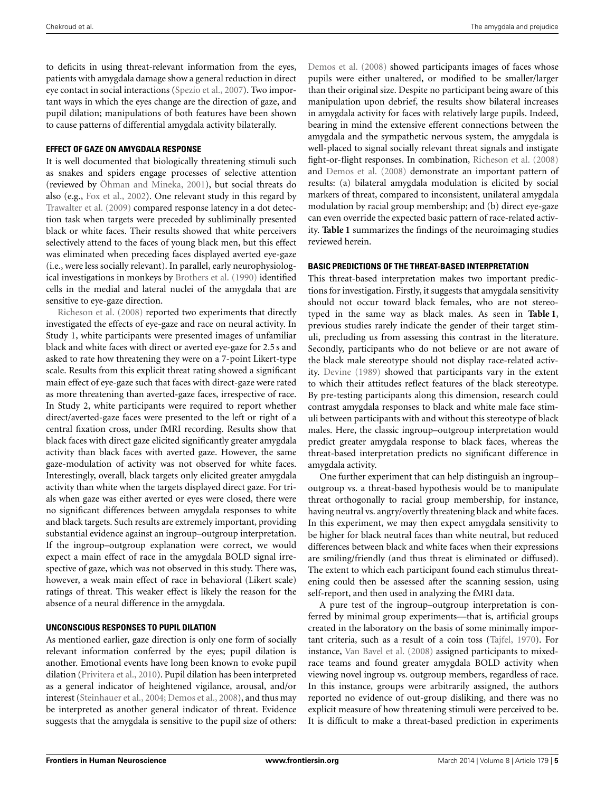to deficits in using threat-relevant information from the eyes, patients with amygdala damage show a general reduction in direct eye contact in social interactions [\(Spezio et al., 2007](#page-10-8)). Two important ways in which the eyes change are the direction of gaze, and pupil dilation; manipulations of both features have been shown to cause patterns of differential amygdala activity bilaterally.

#### **EFFECT OF GAZE ON AMYGDALA RESPONSE**

It is well documented that biologically threatening stimuli such as snakes and spiders engage processes of selective attention (reviewed by [Öhman and Mineka](#page-9-30), [2001](#page-9-30)), but social threats do also (e.g., [Fox et al.](#page-9-31), [2002](#page-9-31)). One relevant study in this regard by [Trawalter et al.](#page-10-6) [\(2009\)](#page-10-6) compared response latency in a dot detection task when targets were preceded by subliminally presented black or white faces. Their results showed that white perceivers selectively attend to the faces of young black men, but this effect was eliminated when preceding faces displayed averted eye-gaze (i.e., were less socially relevant). In parallel, early neurophysiological investigations in monkeys by [Brothers et al.](#page-8-13) [\(1990\)](#page-8-13) identified cells in the medial and lateral nuclei of the amygdala that are [sensitive](#page-9-27) [to](#page-9-27) [eye-ga](#page-9-27)ze direction.

Richeson et al. [\(2008](#page-9-27)) reported two experiments that directly investigated the effects of eye-gaze and race on neural activity. In Study 1, white participants were presented images of unfamiliar black and white faces with direct or averted eye-gaze for 2.5 s and asked to rate how threatening they were on a 7-point Likert-type scale. Results from this explicit threat rating showed a significant main effect of eye-gaze such that faces with direct-gaze were rated as more threatening than averted-gaze faces, irrespective of race. In Study 2, white participants were required to report whether direct/averted-gaze faces were presented to the left or right of a central fixation cross, under fMRI recording. Results show that black faces with direct gaze elicited significantly greater amygdala activity than black faces with averted gaze. However, the same gaze-modulation of activity was not observed for white faces. Interestingly, overall, black targets only elicited greater amygdala activity than white when the targets displayed direct gaze. For trials when gaze was either averted or eyes were closed, there were no significant differences between amygdala responses to white and black targets. Such results are extremely important, providing substantial evidence against an ingroup–outgroup interpretation. If the ingroup–outgroup explanation were correct, we would expect a main effect of race in the amygdala BOLD signal irrespective of gaze, which was not observed in this study. There was, however, a weak main effect of race in behavioral (Likert scale) ratings of threat. This weaker effect is likely the reason for the absence of a neural difference in the amygdala.

#### **UNCONSCIOUS RESPONSES TO PUPIL DILATION**

As mentioned earlier, gaze direction is only one form of socially relevant information conferred by the eyes; pupil dilation is another. Emotional events have long been known to evoke pupil dilation [\(Privitera et al.](#page-9-29), [2010](#page-9-29)). Pupil dilation has been interpreted as a general indicator of heightened vigilance, arousal, and/or interest [\(Steinhauer et al., 2004](#page-10-9); [Demos et al., 2008\)](#page-8-14), and thus may be interpreted as another general indicator of threat. Evidence suggests that the amygdala is sensitive to the pupil size of others: [Demos et al.](#page-8-14) [\(2008](#page-8-14)) showed participants images of faces whose pupils were either unaltered, or modified to be smaller/larger than their original size. Despite no participant being aware of this manipulation upon debrief, the results show bilateral increases in amygdala activity for faces with relatively large pupils. Indeed, bearing in mind the extensive efferent connections between the amygdala and the sympathetic nervous system, the amygdala is well-placed to signal socially relevant threat signals and instigate fight-or-flight responses. In combination, [Richeson et al.](#page-9-27) [\(2008](#page-9-27)) and [Demos et al.](#page-8-14) [\(2008\)](#page-8-14) demonstrate an important pattern of results: (a) bilateral amygdala modulation is elicited by social markers of threat, compared to inconsistent, unilateral amygdala modulation by racial group membership; and (b) direct eye-gaze can even override the expected basic pattern of race-related activity. **[Table 1](#page-5-0)** summarizes the findings of the neuroimaging studies reviewed herein.

## **BASIC PREDICTIONS OF THE THREAT-BASED INTERPRETATION**

This threat-based interpretation makes two important predictions for investigation. Firstly, it suggests that amygdala sensitivity should not occur toward black females, who are not stereotyped in the same way as black males. As seen in **[Table 1](#page-5-0)**, previous studies rarely indicate the gender of their target stimuli, precluding us from assessing this contrast in the literature. Secondly, participants who do not believe or are not aware of the black male stereotype should not display race-related activity. [Devine](#page-8-15) [\(1989](#page-8-15)) showed that participants vary in the extent to which their attitudes reflect features of the black stereotype. By pre-testing participants along this dimension, research could contrast amygdala responses to black and white male face stimuli between participants with and without this stereotype of black males. Here, the classic ingroup–outgroup interpretation would predict greater amygdala response to black faces, whereas the threat-based interpretation predicts no significant difference in amygdala activity.

One further experiment that can help distinguish an ingroup– outgroup vs. a threat-based hypothesis would be to manipulate threat orthogonally to racial group membership, for instance, having neutral vs. angry/overtly threatening black and white faces. In this experiment, we may then expect amygdala sensitivity to be higher for black neutral faces than white neutral, but reduced differences between black and white faces when their expressions are smiling/friendly (and thus threat is eliminated or diffused). The extent to which each participant found each stimulus threatening could then be assessed after the scanning session, using self-report, and then used in analyzing the fMRI data.

A pure test of the ingroup–outgroup interpretation is conferred by minimal group experiments—that is, artificial groups created in the laboratory on the basis of some minimally important criteria, such as a result of a coin toss [\(Tajfel, 1970](#page-10-10)). For instance, [Van Bavel et al.](#page-10-4) [\(2008\)](#page-10-4) assigned participants to mixedrace teams and found greater amygdala BOLD activity when viewing novel ingroup vs. outgroup members, regardless of race. In this instance, groups were arbitrarily assigned, the authors reported no evidence of out-group disliking, and there was no explicit measure of how threatening stimuli were perceived to be. It is difficult to make a threat-based prediction in experiments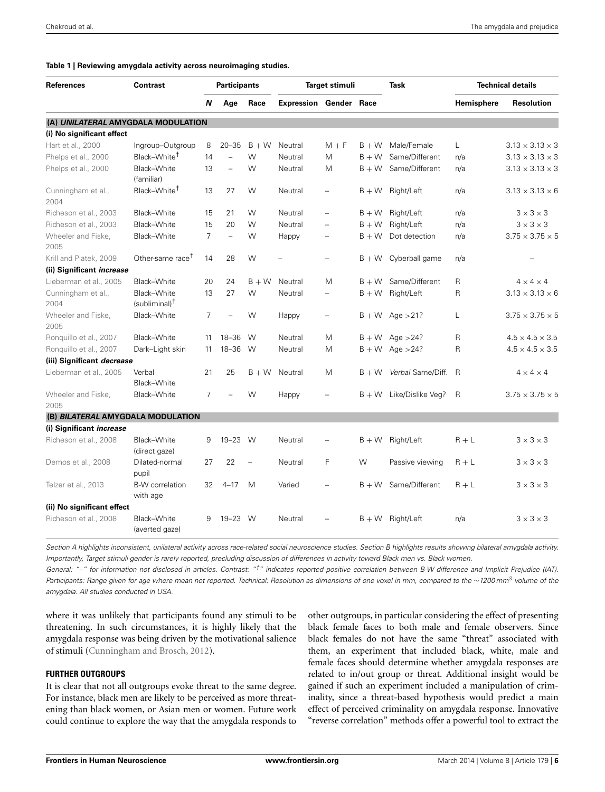#### <span id="page-5-0"></span>**Table 1 | Reviewing amygdala activity across neuroimaging studies.**

| <b>References</b>                  | <b>Contrast</b>                            | <b>Participants</b> |                          |          | Target stimuli                |                   |         | <b>Task</b>         | <b>Technical details</b> |                             |
|------------------------------------|--------------------------------------------|---------------------|--------------------------|----------|-------------------------------|-------------------|---------|---------------------|--------------------------|-----------------------------|
|                                    |                                            | N                   | Age                      | Race     | <b>Expression Gender Race</b> |                   |         |                     | Hemisphere               | <b>Resolution</b>           |
| (A) UNILATERAL AMYGDALA MODULATION |                                            |                     |                          |          |                               |                   |         |                     |                          |                             |
| (i) No significant effect          |                                            |                     |                          |          |                               |                   |         |                     |                          |                             |
| Hart et al., 2000                  | Ingroup-Outgroup                           | 8                   | $20 - 35$                | $B + W$  | Neutral                       | $M + F$           | $B + W$ | Male/Female         | $\mathsf{L}$             | $3.13 \times 3.13 \times 3$ |
| Phelps et al., 2000                | Black-White <sup>†</sup>                   | 14                  | L,                       | W        | Neutral                       | M                 | $B + W$ | Same/Different      | n/a                      | $3.13 \times 3.13 \times 3$ |
| Phelps et al., 2000                | Black-White<br>(familiar)                  | 13                  | $\overline{\phantom{0}}$ | W        | Neutral                       | M                 | $B+W$   | Same/Different      | n/a                      | $3.13 \times 3.13 \times 3$ |
| Cunningham et al.,<br>2004         | Black-White <sup>†</sup>                   | 13                  | 27                       | W        | Neutral                       |                   | $B + W$ | Right/Left          | n/a                      | $3.13 \times 3.13 \times 6$ |
| Richeson et al., 2003              | Black-White                                | 15                  | 21                       | W        | Neutral                       | $\equiv$          | $B + W$ | Right/Left          | n/a                      | $3 \times 3 \times 3$       |
| Richeson et al., 2003              | Black-White                                | 15                  | 20                       | W        | Neutral                       | $\equiv$          | $B + W$ | Right/Left          | n/a                      | $3 \times 3 \times 3$       |
| Wheeler and Fiske,<br>2005         | Black-White                                | 7                   | $\equiv$                 | W        | Happy                         | $\qquad \qquad -$ | $B+W$   | Dot detection       | n/a                      | $3.75 \times 3.75 \times 5$ |
| Krill and Platek, 2009             | Other-same race <sup>T</sup>               | 14                  | 28                       | W        |                               |                   | $B + W$ | Cyberball game      | n/a                      |                             |
| (ii) Significant <i>increase</i>   |                                            |                     |                          |          |                               |                   |         |                     |                          |                             |
| Lieberman et al., 2005             | Black-White                                | 20                  | 24                       | $B + W$  | Neutral                       | M                 | $B + W$ | Same/Different      | R                        | $4 \times 4 \times 4$       |
| Cunningham et al.,<br>2004         | Black-White<br>$(subliminal)$ <sup>T</sup> | 13                  | 27                       | W        | Neutral                       | $\equiv$          | $B + W$ | Right/Left          | R                        | $3.13 \times 3.13 \times 6$ |
| Wheeler and Fiske,<br>2005         | Black-White                                | 7                   | L,                       | W        | Happy                         | $\equiv$          |         | $B + W$ Age > 21?   | L                        | $3.75 \times 3.75 \times 5$ |
| Ronguillo et al., 2007             | Black-White                                | 11                  | $18 - 36$                | W        | Neutral                       | M                 | $B + W$ | Age $>24$ ?         | R                        | $4.5 \times 4.5 \times 3.5$ |
| Ronquillo et al., 2007             | Dark-Light skin                            | 11                  | 18-36                    | W        | Neutral                       | M                 | $B + W$ | Age $>24$ ?         | R                        | $4.5 \times 4.5 \times 3.5$ |
| (iii) Significant decrease         |                                            |                     |                          |          |                               |                   |         |                     |                          |                             |
| Lieberman et al., 2005             | Verbal<br>Black-White                      | 21                  | 25                       | $B + W$  | Neutral                       | M                 | $B + W$ | Verbal Same/Diff. R |                          | $4 \times 4 \times 4$       |
| Wheeler and Fiske,<br>2005         | Black-White                                | $\overline{7}$      |                          | W        | Happy                         |                   | $B + W$ | Like/Dislike Veg?   | R                        | $3.75 \times 3.75 \times 5$ |
| (B) BILATERAL AMYGDALA MODULATION  |                                            |                     |                          |          |                               |                   |         |                     |                          |                             |
| (i) Significant <i>increase</i>    |                                            |                     |                          |          |                               |                   |         |                     |                          |                             |
| Richeson et al., 2008              | Black-White<br>(direct gaze)               | 9                   | 19-23 W                  |          | Neutral                       |                   | $B + W$ | Right/Left          | $R + L$                  | $3 \times 3 \times 3$       |
| Demos et al., 2008                 | Dilated-normal<br>pupil                    | 27                  | 22                       | $\equiv$ | Neutral                       | F                 | W       | Passive viewing     | $R + L$                  | $3 \times 3 \times 3$       |
| Telzer et al., 2013                | <b>B-W</b> correlation<br>with age         | 32                  | $4 - 17$                 | M        | Varied                        |                   | $B + W$ | Same/Different      | $R + L$                  | $3 \times 3 \times 3$       |
| (ii) No significant effect         |                                            |                     |                          |          |                               |                   |         |                     |                          |                             |
| Richeson et al., 2008              | Black-White<br>(averted gaze)              | 9                   | $19 - 23$                | W        | Neutral                       |                   | $B + W$ | Right/Left          | n/a                      | $3 \times 3 \times 3$       |

*Section A highlights inconsistent, unilateral activity across race-related social neuroscience studies. Section B highlights results showing bilateral amygdala activity. Importantly, Target stimuli gender is rarely reported, precluding discussion of differences in activity toward Black men vs. Black women.*

*General: "–" for information not disclosed in articles. Contrast: "†" indicates reported positive correlation between B-W difference and Implicit Prejudice (IAT). Participants: Range given for age where mean not reported. Technical: Resolution as dimensions of one voxel in mm, compared to the* <sup>∼</sup>*1200 mm3 volume of the amygdala. All studies conducted in USA.*

where it was unlikely that participants found any stimuli to be threatening. In such circumstances, it is highly likely that the amygdala response was being driven by the motivational salience of stimuli [\(Cunningham and Brosch, 2012\)](#page-8-16).

#### **FURTHER OUTGROUPS**

It is clear that not all outgroups evoke threat to the same degree. For instance, black men are likely to be perceived as more threatening than black women, or Asian men or women. Future work could continue to explore the way that the amygdala responds to other outgroups, in particular considering the effect of presenting black female faces to both male and female observers. Since black females do not have the same "threat" associated with them, an experiment that included black, white, male and female faces should determine whether amygdala responses are related to in/out group or threat. Additional insight would be gained if such an experiment included a manipulation of criminality, since a threat-based hypothesis would predict a main effect of perceived criminality on amygdala response. Innovative "reverse correlation" methods offer a powerful tool to extract the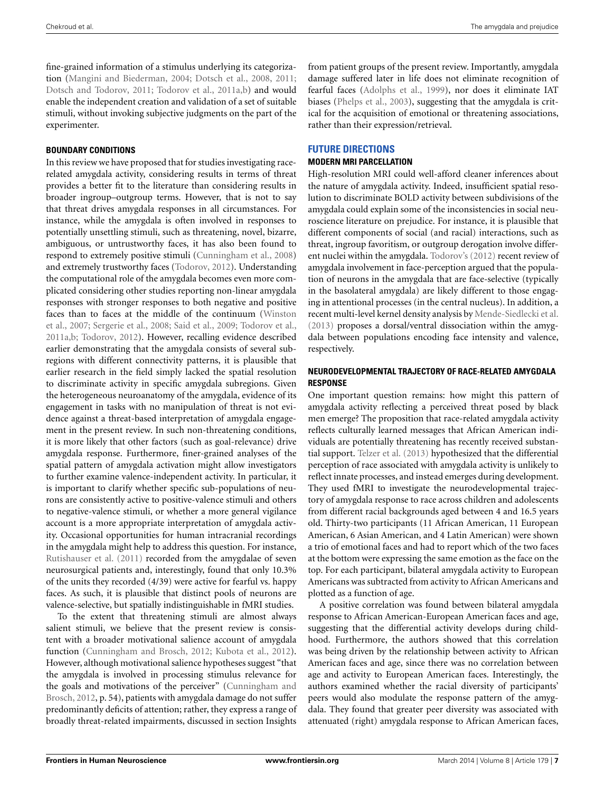fine-grained information of a stimulus underlying its categorization [\(Mangini and Biederman, 2004;](#page-9-32) [Dotsch et al., 2008,](#page-9-33) [2011;](#page-9-34) [Dotsch and Todorov](#page-9-35), [2011;](#page-9-35) [Todorov et al., 2011a](#page-10-12)[,b\)](#page-10-13) and would enable the independent creation and validation of a set of suitable stimuli, without invoking subjective judgments on the part of the experimenter.

# **BOUNDARY CONDITIONS**

In this review we have proposed that for studies investigating racerelated amygdala activity, considering results in terms of threat provides a better fit to the literature than considering results in broader ingroup–outgroup terms. However, that is not to say that threat drives amygdala responses in all circumstances. For instance, while the amygdala is often involved in responses to potentially unsettling stimuli, such as threatening, novel, bizarre, ambiguous, or untrustworthy faces, it has also been found to respond to extremely positive stimuli [\(Cunningham et al.](#page-8-17), [2008](#page-8-17)) and extremely trustworthy faces [\(Todorov](#page-10-14), [2012\)](#page-10-14). Understanding the computational role of the amygdala becomes even more complicated considering other studies reporting non-linear amygdala responses with stronger responses to both negative and positive faces [than to faces at the middle of the continuum \(](#page-10-15)Winston et al., [2007;](#page-10-15) [Sergerie et al.](#page-9-36), [2008](#page-9-36); [Said et al.](#page-9-37), [2009;](#page-9-37) [Todorov et al.,](#page-10-12) [2011a](#page-10-12)[,b;](#page-10-13) [Todorov](#page-10-14), [2012\)](#page-10-14). However, recalling evidence described earlier demonstrating that the amygdala consists of several subregions with different connectivity patterns, it is plausible that earlier research in the field simply lacked the spatial resolution to discriminate activity in specific amygdala subregions. Given the heterogeneous neuroanatomy of the amygdala, evidence of its engagement in tasks with no manipulation of threat is not evidence against a threat-based interpretation of amygdala engagement in the present review. In such non-threatening conditions, it is more likely that other factors (such as goal-relevance) drive amygdala response. Furthermore, finer-grained analyses of the spatial pattern of amygdala activation might allow investigators to further examine valence-independent activity. In particular, it is important to clarify whether specific sub-populations of neurons are consistently active to positive-valence stimuli and others to negative-valence stimuli, or whether a more general vigilance account is a more appropriate interpretation of amygdala activity. Occasional opportunities for human intracranial recordings in the amygdala might help to address this question. For instance, [Rutishauser et al.](#page-9-38) [\(2011\)](#page-9-38) recorded from the amygdalae of seven neurosurgical patients and, interestingly, found that only 10.3% of the units they recorded (4/39) were active for fearful vs. happy faces. As such, it is plausible that distinct pools of neurons are valence-selective, but spatially indistinguishable in fMRI studies.

To the extent that threatening stimuli are almost always salient stimuli, we believe that the present review is consistent with a broader motivational salience account of amygdala function [\(Cunningham and Brosch, 2012](#page-8-16); [Kubota et al.](#page-9-2), [2012](#page-9-2)). However, although motivational salience hypotheses suggest "that the amygdala is involved in processing stimulus relevance for the go[als and motivations of the perceiver" \(](#page-8-16)Cunningham and Brosch, [2012,](#page-8-16) p. 54), patients with amygdala damage do not suffer predominantly deficits of attention; rather, they express a range of broadly threat-related impairments, discussed in section Insights

from patient groups of the present review. Importantly, amygdala damage suffered later in life does not eliminate recognition of fearful faces [\(Adolphs et al.](#page-8-18), [1999\)](#page-8-18), nor does it eliminate IAT biases [\(Phelps et al.](#page-9-39), [2003\)](#page-9-39), suggesting that the amygdala is critical for the acquisition of emotional or threatening associations, rather than their expression/retrieval.

# **FUTURE DIRECTIONS**

# **MODERN MRI PARCELLATION**

High-resolution MRI could well-afford cleaner inferences about the nature of amygdala activity. Indeed, insufficient spatial resolution to discriminate BOLD activity between subdivisions of the amygdala could explain some of the inconsistencies in social neuroscience literature on prejudice. For instance, it is plausible that different components of social (and racial) interactions, such as threat, ingroup favoritism, or outgroup derogation involve different nuclei within the amygdala. [Todorov's](#page-10-14) [\(2012](#page-10-14)) recent review of amygdala involvement in face-perception argued that the population of neurons in the amygdala that are face-selective (typically in the basolateral amygdala) are likely different to those engaging in attentional processes (in the central nucleus). In addition, a recent multi-level kernel density analysis by [Mende-Siedlecki et al.](#page-9-40) [\(2013\)](#page-9-40) proposes a dorsal/ventral dissociation within the amygdala between populations encoding face intensity and valence, respectively.

## **NEURODEVELOPMENTAL TRAJECTORY OF RACE-RELATED AMYGDALA RESPONSE**

One important question remains: how might this pattern of amygdala activity reflecting a perceived threat posed by black men emerge? The proposition that race-related amygdala activity reflects culturally learned messages that African American individuals are potentially threatening has recently received substantial support. [Telzer et al.](#page-10-11) [\(2013\)](#page-10-11) hypothesized that the differential perception of race associated with amygdala activity is unlikely to reflect innate processes, and instead emerges during development. They used fMRI to investigate the neurodevelopmental trajectory of amygdala response to race across children and adolescents from different racial backgrounds aged between 4 and 16.5 years old. Thirty-two participants (11 African American, 11 European American, 6 Asian American, and 4 Latin American) were shown a trio of emotional faces and had to report which of the two faces at the bottom were expressing the same emotion as the face on the top. For each participant, bilateral amygdala activity to European Americans was subtracted from activity to African Americans and plotted as a function of age.

A positive correlation was found between bilateral amygdala response to African American-European American faces and age, suggesting that the differential activity develops during childhood. Furthermore, the authors showed that this correlation was being driven by the relationship between activity to African American faces and age, since there was no correlation between age and activity to European American faces. Interestingly, the authors examined whether the racial diversity of participants' peers would also modulate the response pattern of the amygdala. They found that greater peer diversity was associated with attenuated (right) amygdala response to African American faces,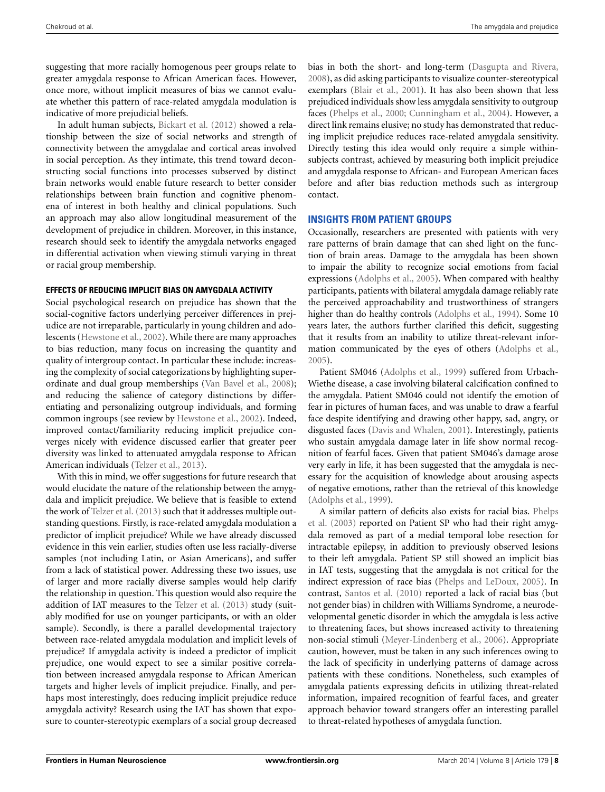suggesting that more racially homogenous peer groups relate to greater amygdala response to African American faces. However, once more, without implicit measures of bias we cannot evaluate whether this pattern of race-related amygdala modulation is indicative of more prejudicial beliefs.

In adult human subjects, [Bickart et al.](#page-8-19) [\(2012](#page-8-19)) showed a relationship between the size of social networks and strength of connectivity between the amygdalae and cortical areas involved in social perception. As they intimate, this trend toward deconstructing social functions into processes subserved by distinct brain networks would enable future research to better consider relationships between brain function and cognitive phenomena of interest in both healthy and clinical populations. Such an approach may also allow longitudinal measurement of the development of prejudice in children. Moreover, in this instance, research should seek to identify the amygdala networks engaged in differential activation when viewing stimuli varying in threat or racial group membership.

#### **EFFECTS OF REDUCING IMPLICIT BIAS ON AMYGDALA ACTIVITY**

Social psychological research on prejudice has shown that the social-cognitive factors underlying perceiver differences in prejudice are not irreparable, particularly in young children and adolescents [\(Hewstone et al., 2002](#page-9-10)). While there are many approaches to bias reduction, many focus on increasing the quantity and quality of intergroup contact. In particular these include: increasing the complexity of social categorizations by highlighting superordinate and dual group memberships [\(Van Bavel et al.](#page-10-4), [2008](#page-10-4)); and reducing the salience of category distinctions by differentiating and personalizing outgroup individuals, and forming common ingroups (see review by [Hewstone et al.](#page-9-10), [2002](#page-9-10)). Indeed, improved contact/familiarity reducing implicit prejudice converges nicely with evidence discussed earlier that greater peer diversity was linked to attenuated amygdala response to African American individuals [\(Telzer et al., 2013\)](#page-10-11).

With this in mind, we offer suggestions for future research that would elucidate the nature of the relationship between the amygdala and implicit prejudice. We believe that is feasible to extend the work of [Telzer et al.](#page-10-11) [\(2013](#page-10-11)) such that it addresses multiple outstanding questions. Firstly, is race-related amygdala modulation a predictor of implicit prejudice? While we have already discussed evidence in this vein earlier, studies often use less racially-diverse samples (not including Latin, or Asian Americans), and suffer from a lack of statistical power. Addressing these two issues, use of larger and more racially diverse samples would help clarify the relationship in question. This question would also require the addition of IAT measures to the [Telzer et al.](#page-10-11) [\(2013\)](#page-10-11) study (suitably modified for use on younger participants, or with an older sample). Secondly, is there a parallel developmental trajectory between race-related amygdala modulation and implicit levels of prejudice? If amygdala activity is indeed a predictor of implicit prejudice, one would expect to see a similar positive correlation between increased amygdala response to African American targets and higher levels of implicit prejudice. Finally, and perhaps most interestingly, does reducing implicit prejudice reduce amygdala activity? Research using the IAT has shown that exposure to counter-stereotypic exemplars of a social group decreased

bias in both the short- and long-term [\(Dasgupta and Rivera](#page-8-20), [2008](#page-8-20)), as did asking participants to visualize counter-stereotypical exemplars [\(Blair et al., 2001\)](#page-8-21). It has also been shown that less prejudiced individuals show less amygdala sensitivity to outgroup faces [\(Phelps et al.](#page-9-1), [2000;](#page-9-1) [Cunningham et al.](#page-8-8), [2004](#page-8-8)). However, a direct link remains elusive; no study has demonstrated that reducing implicit prejudice reduces race-related amygdala sensitivity. Directly testing this idea would only require a simple withinsubjects contrast, achieved by measuring both implicit prejudice and amygdala response to African- and European American faces before and after bias reduction methods such as intergroup contact.

## **INSIGHTS FROM PATIENT GROUPS**

Occasionally, researchers are presented with patients with very rare patterns of brain damage that can shed light on the function of brain areas. Damage to the amygdala has been shown to impair the ability to recognize social emotions from facial expressions [\(Adolphs et al.](#page-8-11), [2005](#page-8-11)). When compared with healthy participants, patients with bilateral amygdala damage reliably rate the perceived approachability and trustworthiness of strangers higher than do healthy controls [\(Adolphs et al.](#page-8-22), [1994\)](#page-8-22). Some 10 years later, the authors further clarified this deficit, suggesting that it results from an inability to utilize threat-relevant information communicated by the eyes of others [\(Adolphs et al.](#page-8-11), [2005](#page-8-11)).

Patient SM046 [\(Adolphs et al., 1999\)](#page-8-18) suffered from Urbach-Wiethe disease, a case involving bilateral calcification confined to the amygdala. Patient SM046 could not identify the emotion of fear in pictures of human faces, and was unable to draw a fearful face despite identifying and drawing other happy, sad, angry, or disgusted faces [\(Davis and Whalen](#page-8-2), [2001](#page-8-2)). Interestingly, patients who sustain amygdala damage later in life show normal recognition of fearful faces. Given that patient SM046's damage arose very early in life, it has been suggested that the amygdala is necessary for the acquisition of knowledge about arousing aspects of negative emotions, rather than the retrieval of this knowledge [\(Adolphs et al.](#page-8-18), [1999](#page-8-18)).

A [similar pattern of deficits also exists for racial bias.](#page-9-39) Phelps et al. [\(2003](#page-9-39)) reported on Patient SP who had their right amygdala removed as part of a medial temporal lobe resection for intractable epilepsy, in addition to previously observed lesions to their left amygdala. Patient SP still showed an implicit bias in IAT tests, suggesting that the amygdala is not critical for the indirect expression of race bias [\(Phelps and LeDoux](#page-9-41), [2005](#page-9-41)). In contrast, [Santos et al.](#page-9-42) [\(2010\)](#page-9-42) reported a lack of racial bias (but not gender bias) in children with Williams Syndrome, a neurodevelopmental genetic disorder in which the amygdala is less active to threatening faces, but shows increased activity to threatening non-social stimuli [\(Meyer-Lindenberg et al.](#page-9-43), [2006\)](#page-9-43). Appropriate caution, however, must be taken in any such inferences owing to the lack of specificity in underlying patterns of damage across patients with these conditions. Nonetheless, such examples of amygdala patients expressing deficits in utilizing threat-related information, impaired recognition of fearful faces, and greater approach behavior toward strangers offer an interesting parallel to threat-related hypotheses of amygdala function.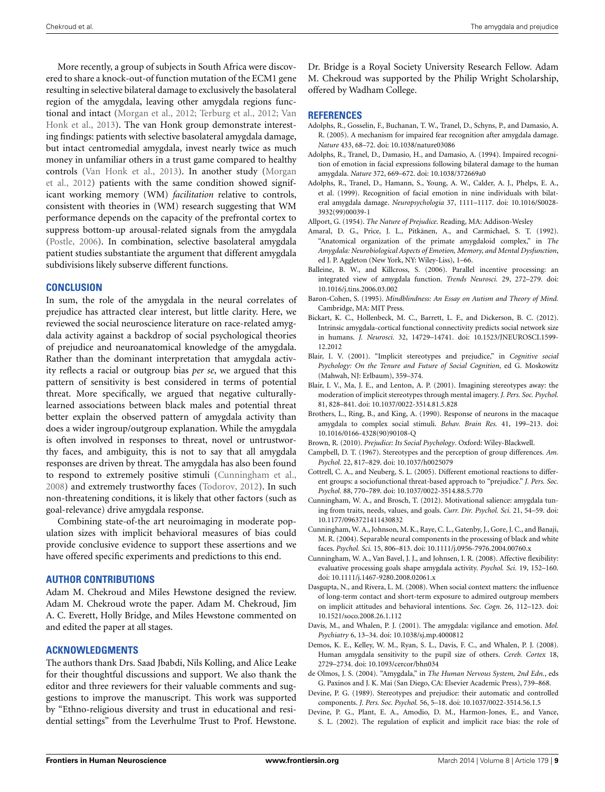More recently, a group of subjects in South Africa were discovered to share a knock-out-of function mutation of the ECM1 gene resulting in selective bilateral damage to exclusively the basolateral region of the amygdala, leaving other amygdala regions functional and [intact](#page-10-17) [\(Morgan et al.](#page-9-44)[,](#page-10-17) [2012](#page-9-44)[;](#page-10-17) [Terburg et al.](#page-10-16)[,](#page-10-17) [2012](#page-10-16)[;](#page-10-17) Van Honk et al., [2013](#page-10-17)). The van Honk group demonstrate interesting findings: patients with selective basolateral amygdala damage, but intact centromedial amygdala, invest nearly twice as much money in unfamiliar others in a trust game compared to healthy cont[rols](#page-9-44) [\(Van Honk et al.](#page-10-17)[,](#page-9-44) [2013](#page-10-17)[\). In another study \(](#page-9-44)Morgan et al., [2012](#page-9-44)) patients with the same condition showed significant working memory (WM) *facilitation* relative to controls, consistent with theories in (WM) research suggesting that WM performance depends on the capacity of the prefrontal cortex to suppress bottom-up arousal-related signals from the amygdala [\(Postle](#page-9-45), [2006](#page-9-45)). In combination, selective basolateral amygdala patient studies substantiate the argument that different amygdala subdivisions likely subserve different functions.

#### **CONCLUSION**

In sum, the role of the amygdala in the neural correlates of prejudice has attracted clear interest, but little clarity. Here, we reviewed the social neuroscience literature on race-related amygdala activity against a backdrop of social psychological theories of prejudice and neuroanatomical knowledge of the amygdala. Rather than the dominant interpretation that amygdala activity reflects a racial or outgroup bias *per se*, we argued that this pattern of sensitivity is best considered in terms of potential threat. More specifically, we argued that negative culturallylearned associations between black males and potential threat better explain the observed pattern of amygdala activity than does a wider ingroup/outgroup explanation. While the amygdala is often involved in responses to threat, novel or untrustworthy faces, and ambiguity, this is not to say that all amygdala responses are driven by threat. The amygdala has also been found to respond to extremely positive stimuli [\(Cunningham et al.,](#page-8-17) [2008](#page-8-17)) and extremely trustworthy faces [\(Todorov](#page-10-14), [2012\)](#page-10-14). In such non-threatening conditions, it is likely that other factors (such as goal-relevance) drive amygdala response.

Combining state-of-the art neuroimaging in moderate population sizes with implicit behavioral measures of bias could provide conclusive evidence to support these assertions and we have offered specific experiments and predictions to this end.

## **AUTHOR CONTRIBUTIONS**

Adam M. Chekroud and Miles Hewstone designed the review. Adam M. Chekroud wrote the paper. Adam M. Chekroud, Jim A. C. Everett, Holly Bridge, and Miles Hewstone commented on and edited the paper at all stages.

# **ACKNOWLEDGMENTS**

The authors thank Drs. Saad Jbabdi, Nils Kolling, and Alice Leake for their thoughtful discussions and support. We also thank the editor and three reviewers for their valuable comments and suggestions to improve the manuscript. This work was supported by "Ethno-religious diversity and trust in educational and residential settings" from the Leverhulme Trust to Prof. Hewstone. Dr. Bridge is a Royal Society University Research Fellow. Adam M. Chekroud was supported by the Philip Wright Scholarship, offered by Wadham College.

#### **REFERENCES**

- <span id="page-8-11"></span>Adolphs, R., Gosselin, F., Buchanan, T. W., Tranel, D., Schyns, P., and Damasio, A. R. (2005). A mechanism for impaired fear recognition after amygdala damage. *Nature* 433, 68–72. doi: 10.1038/nature03086
- <span id="page-8-22"></span>Adolphs, R., Tranel, D., Damasio, H., and Damasio, A. (1994). Impaired recognition of emotion in facial expressions following bilateral damage to the human amygdala. *Nature* 372, 669–672. doi: 10.1038/372669a0
- <span id="page-8-18"></span>Adolphs, R., Tranel, D., Hamann, S., Young, A. W., Calder, A. J., Phelps, E. A., et al. (1999). Recognition of facial emotion in nine individuals with bilateral amygdala damage. *Neuropsychologia* 37, 1111–1117. doi: 10.1016/S0028- 3932(99)00039-1
- <span id="page-8-0"></span>Allport, G. (1954). *The Nature of Prejudice*. Reading, MA: Addison-Wesley
- <span id="page-8-4"></span>Amaral, D. G., Price, J. L., Pitkänen, A., and Carmichael, S. T. (1992). "Anatomical organization of the primate amygdaloid complex," in *The Amygdala: Neurobiological Aspects of Emotion, Memory, and Mental Dysfunction*, ed J. P. Aggleton (New York, NY: Wiley-Liss), 1–66.
- <span id="page-8-3"></span>Balleine, B. W., and Killcross, S. (2006). Parallel incentive processing: an integrated view of amygdala function. *Trends Neurosci.* 29, 272–279. doi: 10.1016/j.tins.2006.03.002
- <span id="page-8-12"></span>Baron-Cohen, S. (1995). *Mindblindness: An Essay on Autism and Theory of Mind.* Cambridge, MA: MIT Press.
- <span id="page-8-19"></span>Bickart, K. C., Hollenbeck, M. C., Barrett, L. F., and Dickerson, B. C. (2012). Intrinsic amygdala-cortical functional connectivity predicts social network size in humans. *J. Neurosci.* 32, 14729–14741. doi: 10.1523/JNEUROSCI.1599- 12.2012
- <span id="page-8-6"></span>Blair, I. V. (2001). "Implicit stereotypes and prejudice," in *Cognitive social Psychology: On the Tenure and Future of Social Cognition*, ed G. Moskowitz (Mahwah, NJ: Erlbaum), 359–374.
- <span id="page-8-21"></span>Blair, I. V., Ma, J. E., and Lenton, A. P. (2001). Imagining stereotypes away: the moderation of implicit stereotypes through mental imagery. *J. Pers. Soc. Psychol.* 81, 828–841. doi: 10.1037/0022-3514.81.5.828
- <span id="page-8-13"></span>Brothers, L., Ring, B., and King, A. (1990). Response of neurons in the macaque amygdala to complex social stimuli. *Behav. Brain Res.* 41, 199–213. doi: 10.1016/0166-4328(90)90108-Q
- <span id="page-8-1"></span>Brown, R. (2010). *Prejudice: Its Social Psychology*. Oxford: Wiley-Blackwell.
- <span id="page-8-10"></span>Campbell, D. T. (1967). Stereotypes and the perception of group differences. *Am. Psychol.* 22, 817–829. doi: 10.1037/h0025079
- <span id="page-8-9"></span>Cottrell, C. A., and Neuberg, S. L. (2005). Different emotional reactions to different groups: a sociofunctional threat-based approach to "prejudice." *J. Pers. Soc. Psychol.* 88, 770–789. doi: 10.1037/0022-3514.88.5.770
- <span id="page-8-16"></span>Cunningham, W. A., and Brosch, T. (2012). Motivational salience: amygdala tuning from traits, needs, values, and goals. *Curr. Dir. Psychol. Sci.* 21, 54–59. doi: 10.1177/0963721411430832
- <span id="page-8-8"></span>Cunningham, W. A., Johnson, M. K., Raye, C. L., Gatenby, J., Gore, J. C., and Banaji, M. R. (2004). Separable neural components in the processing of black and white faces. *Psychol. Sci.* 15, 806–813. doi: 10.1111/j.0956-7976.2004.00760.x
- <span id="page-8-17"></span>Cunningham, W. A., Van Bavel, J. J., and Johnsen, I. R. (2008). Affective flexibility: evaluative processing goals shape amygdala activity. *Psychol. Sci.* 19, 152–160. doi: 10.1111/j.1467-9280.2008.02061.x
- <span id="page-8-20"></span>Dasgupta, N., and Rivera, L. M. (2008). When social context matters: the influence of long-term contact and short-term exposure to admired outgroup members on implicit attitudes and behavioral intentions. *Soc. Cogn.* 26, 112–123. doi: 10.1521/soco.2008.26.1.112
- <span id="page-8-2"></span>Davis, M., and Whalen, P. J. (2001). The amygdala: vigilance and emotion. *Mol. Psychiatry* 6, 13–34. doi: 10.1038/sj.mp.4000812
- <span id="page-8-14"></span>Demos, K. E., Kelley, W. M., Ryan, S. L., Davis, F. C., and Whalen, P. J. (2008). Human amygdala sensitivity to the pupil size of others. *Cereb. Cortex* 18, 2729–2734. doi: 10.1093/cercor/bhn034
- <span id="page-8-5"></span>de Olmos, J. S. (2004). "Amygdala," in *The Human Nervous System, 2nd Edn.*, eds G. Paxinos and J. K. Mai (San Diego, CA: Elsevier Academic Press), 739–868.
- <span id="page-8-15"></span>Devine, P. G. (1989). Stereotypes and prejudice: their automatic and controlled components. *J. Pers. Soc. Psychol.* 56, 5–18. doi: 10.1037/0022-3514.56.1.5
- <span id="page-8-7"></span>Devine, P. G., Plant, E. A., Amodio, D. M., Harmon-Jones, E., and Vance, S. L. (2002). The regulation of explicit and implicit race bias: the role of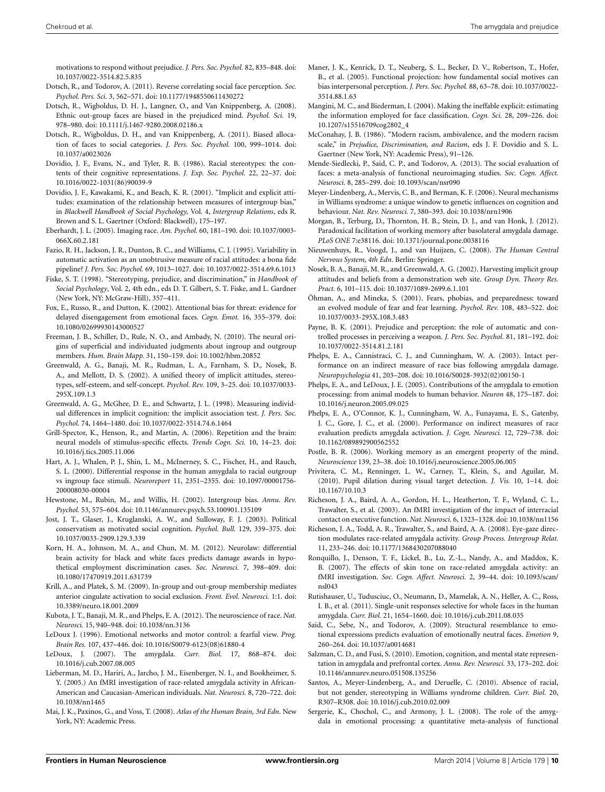motivations to respond without prejudice. *J. Pers. Soc. Psychol.* 82, 835–848. doi: 10.1037/0022-3514.82.5.835

- <span id="page-9-35"></span>Dotsch, R., and Todorov, A. (2011). Reverse correlating social face perception. *Soc. Psychol. Pers. Sci.* 3, 562–571. doi: 10.1177/1948550611430272
- <span id="page-9-33"></span>Dotsch, R., Wigboldus, D. H. J., Langner, O., and Van Knippenberg, A. (2008). Ethnic out-group faces are biased in the prejudiced mind. *Psychol. Sci.* 19, 978–980. doi: 10.1111/j.1467-9280.2008.02186.x
- <span id="page-9-34"></span>Dotsch, R., Wigboldus, D. H., and van Knippenberg, A. (2011). Biased allocation of faces to social categories. *J. Pers. Soc. Psychol.* 100, 999–1014. doi: 10.1037/a0023026
- <span id="page-9-11"></span>Dovidio, J. F., Evans, N., and Tyler, R. B. (1986). Racial stereotypes: the contents of their cognitive representations. *J. Exp. Soc. Psychol.* 22, 22–37. doi: 10.1016/0022-1031(86)90039-9
- <span id="page-9-12"></span>Dovidio, J. F., Kawakami, K., and Beach, K. R. (2001). "Implicit and explicit attitudes: examination of the relationship between measures of intergroup bias," in *Blackwell Handbook of Social Psychology,* Vol. 4, *Intergroup Relations*, eds R. Brown and S. L. Gaertner (Oxford: Blackwell), 175–197.
- <span id="page-9-14"></span>Eberhardt, J. L. (2005). Imaging race. *Am. Psychol.* 60, 181–190. doi: 10.1037/0003- 066X.60.2.181
- <span id="page-9-13"></span>Fazio, R. H., Jackson, J. R., Dunton, B. C., and Williams, C. J. (1995). Variability in automatic activation as an unobtrusive measure of racial attitudes: a bona fide pipeline? *J. Pers. Soc. Psychol.* 69, 1013–1027. doi: 10.1037/0022-3514.69.6.1013
- <span id="page-9-8"></span>Fiske, S. T. (1998). "Stereotyping, prejudice, and discrimination," in *Handbook of Social Psychology*, Vol. 2, 4th edn., eds D. T. Gilbert, S. T. Fiske, and L. Gardner (New York, NY: McGraw-Hill), 357–411.
- <span id="page-9-31"></span>Fox, E., Russo, R., and Dutton, K. (2002). Attentional bias for threat: evidence for delayed disengagement from emotional faces. *Cogn. Emot.* 16, 355–379. doi: 10.1080/02699930143000527
- <span id="page-9-20"></span>Freeman, J. B., Schiller, D., Rule, N. O., and Ambady, N. (2010). The neural origins of superficial and individuated judgments about ingroup and outgroup members. *Hum. Brain Mapp.* 31, 150–159. doi: 10.1002/hbm.20852
- <span id="page-9-9"></span>Greenwald, A. G., Banaji, M. R., Rudman, L. A., Farnham, S. D., Nosek, B. A., and Mellott, D. S. (2002). A unified theory of implicit attitudes, stereotypes, self-esteem, and self-concept. *Psychol. Rev.* 109, 3–25. doi: 10.1037/0033- 295X.109.1.3
- <span id="page-9-18"></span>Greenwald, A. G., McGhee, D. E., and Schwartz, J. L. (1998). Measuring individual differences in implicit cognition: the implicit association test. *J. Pers. Soc. Psychol.* 74, 1464–1480. doi: 10.1037/0022-3514.74.6.1464
- <span id="page-9-16"></span>Grill-Spector, K., Henson, R., and Martin, A. (2006). Repetition and the brain: neural models of stimulus-specific effects. *Trends Cogn. Sci.* 10, 14–23. doi: 10.1016/j.tics.2005.11.006
- <span id="page-9-0"></span>Hart, A. J., Whalen, P. J., Shin, L. M., McInerney, S. C., Fischer, H., and Rauch, S. L. (2000). Differential response in the human amygdala to racial outgroup vs ingroup face stimuli. *Neuroreport* 11, 2351–2355. doi: 10.1097/00001756- 200008030-00004
- <span id="page-9-10"></span>Hewstone, M., Rubin, M., and Willis, H. (2002). Intergroup bias. *Annu. Rev. Psychol.* 53, 575–604. doi: 10.1146/annurev.psych.53.100901.135109
- <span id="page-9-28"></span>Jost, J. T., Glaser, J., Kruglanski, A. W., and Sulloway, F. J. (2003). Political conservatism as motivated social cognition. *Psychol. Bull.* 129, 339–375. doi: 10.1037/0033-2909.129.3.339
- <span id="page-9-3"></span>Korn, H. A., Johnson, M. A., and Chun, M. M. (2012). Neurolaw: differential brain activity for black and white faces predicts damage awards in hypothetical employment discrimination cases. *Soc. Neurosci.* 7, 398–409. doi: 10.1080/17470919.2011.631739
- <span id="page-9-21"></span>Krill, A., and Platek, S. M. (2009). In-group and out-group membership mediates anterior cingulate activation to social exclusion. *Front. Evol. Neurosci.* 1:1. doi: 10.3389/neuro.18.001.2009
- <span id="page-9-2"></span>Kubota, J. T., Banaji, M. R., and Phelps, E. A. (2012). The neuroscience of race. *Nat. Neurosci.* 15, 940–948. doi: 10.1038/nn.3136
- <span id="page-9-4"></span>LeDoux J. (1996). Emotional networks and motor control: a fearful view. *Prog. Brain Res.* 107, 437–446. doi: 10.1016/S0079-6123(08)61880-4
- <span id="page-9-5"></span>LeDoux, J. (2007). The amygdala. *Curr. Biol.* 17, 868–874. doi: 10.1016/j.cub.2007.08.005
- <span id="page-9-22"></span>Lieberman, M. D., Hariri, A., Jarcho, J. M., Eisenberger, N. I., and Bookheimer, S. Y. (2005.) An fMRI investigation of race-related amygdala activity in African-American and Caucasian-American individuals. *Nat. Neurosci.* 8, 720–722. doi: 10.1038/nn1465
- <span id="page-9-6"></span>Mai, J. K., Paxinos, G., and Voss, T. (2008). *Atlas of the Human Brain, 3rd Edn*. New York, NY: Academic Press.
- <span id="page-9-26"></span>Maner, J. K., Kenrick, D. T., Neuberg, S. L., Becker, D. V., Robertson, T., Hofer, B., et al. (2005). Functional projection: how fundamental social motives can bias interpersonal perception. *J. Pers. Soc. Psychol.* 88, 63–78. doi: 10.1037/0022- 3514.88.1.63
- <span id="page-9-32"></span>Mangini, M. C., and Biederman, I. (2004). Making the ineffable explicit: estimating the information employed for face classification. *Cogn. Sci.* 28, 209–226. doi: 10.1207/s15516709cog2802\_4
- <span id="page-9-17"></span>McConahay, J. B. (1986). "Modern racism, ambivalence, and the modern racism scale," in *Prejudice, Discrimination, and Racism*, eds J. F. Dovidio and S. L. Gaertner (New York, NY: Academic Press), 91–126.
- <span id="page-9-40"></span>Mende-Siedlecki, P., Said, C. P., and Todorov, A. (2013). The social evaluation of faces: a meta-analysis of functional neuroimaging studies. *Soc. Cogn. Affect. Neurosci.* 8, 285–299. doi: 10.1093/scan/nsr090
- <span id="page-9-43"></span>Meyer-Lindenberg, A., Mervis, C. B., and Berman, K. F. (2006). Neural mechanisms in Williams syndrome: a unique window to genetic influences on cognition and behaviour. *Nat. Rev. Neurosci.* 7, 380–393. doi: 10.1038/nrn1906
- <span id="page-9-44"></span>Morgan, B., Terburg, D., Thornton, H. B., Stein, D. J., and van Honk, J. (2012). Paradoxical facilitation of working memory after basolateral amygdala damage. *PLoS ONE* 7:e38116. doi: 10.1371/journal.pone.0038116
- <span id="page-9-7"></span>Nieuwenhuys, R., Voogd, J., and van Huijzen, C. (2008). *The Human Central Nervous System, 4th Edn*. Berlin: Springer.
- <span id="page-9-23"></span>Nosek, B. A., Banaji, M. R., and Greenwald, A. G. (2002). Harvesting implicit group attitudes and beliefs from a demonstration web site. *Group Dyn. Theory Res. Pract.* 6, 101–115. doi: 10.1037/1089-2699.6.1.101
- <span id="page-9-30"></span>Öhman, A., and Mineka, S. (2001). Fears, phobias, and preparedness: toward an evolved module of fear and fear learning. *Psychol. Rev.* 108, 483–522. doi: 10.1037/0033-295X.108.3.483
- <span id="page-9-25"></span>Payne, B. K. (2001). Prejudice and perception: the role of automatic and controlled processes in perceiving a weapon. *J. Pers. Soc. Psychol.* 81, 181–192. doi: 10.1037/0022-3514.81.2.181
- <span id="page-9-39"></span>Phelps, E. A., Cannistraci, C. J., and Cunningham, W. A. (2003). Intact performance on an indirect measure of race bias following amygdala damage. *Neuropsychologia* 41, 203–208. doi: 10.1016/S0028-3932(02)00150-1
- <span id="page-9-41"></span>Phelps, E. A., and LeDoux, J. E. (2005). Contributions of the amygdala to emotion processing: from animal models to human behavior. *Neuron* 48, 175–187. doi: 10.1016/j.neuron.2005.09.025
- <span id="page-9-1"></span>Phelps, E. A., O'Connor, K. J., Cunningham, W. A., Funayama, E. S., Gatenby, J. C., Gore, J. C., et al. (2000). Performance on indirect measures of race evaluation predicts amygdala activation. *J. Cogn. Neurosci.* 12, 729–738. doi: 10.1162/089892900562552
- <span id="page-9-45"></span>Postle, B. R. (2006). Working memory as an emergent property of the mind. *Neuroscience* 139, 23–38. doi: 10.1016/j.neuroscience.2005.06.005
- <span id="page-9-29"></span>Privitera, C. M., Renninger, L. W., Carney, T., Klein, S., and Aguilar, M. (2010). Pupil dilation during visual target detection. *J. Vis.* 10, 1–14. doi: 10.1167/10.10.3
- <span id="page-9-19"></span>Richeson, J. A., Baird, A. A., Gordon, H. L., Heatherton, T. F., Wyland, C. L., Trawalter, S., et al. (2003). An fMRI investigation of the impact of interracial contact on executive function. *Nat. Neurosci.* 6, 1323–1328. doi: 10.1038/nn1156
- <span id="page-9-27"></span>Richeson, J. A., Todd, A. R., Trawalter, S., and Baird, A. A. (2008). Eye-gaze direction modulates race-related amygdala activity. *Group Process. Intergroup Relat.* 11, 233–246. doi: 10.1177/1368430207088040
- <span id="page-9-24"></span>Ronquillo, J., Denson, T. F., Lickel, B., Lu, Z.-L., Nandy, A., and Maddox, K. B. (2007). The effects of skin tone on race-related amygdala activity: an fMRI investigation. *Soc. Cogn. Affect. Neurosci.* 2, 39–44. doi: 10.1093/scan/ nsl043
- <span id="page-9-38"></span>Rutishauser, U., Tudusciuc, O., Neumann, D., Mamelak, A. N., Heller, A. C., Ross, I. B., et al. (2011). Single-unit responses selective for whole faces in the human amygdala. *Curr. Biol.* 21, 1654–1660. doi: 10.1016/j.cub.2011.08.035
- <span id="page-9-37"></span>Said, C., Sebe, N., and Todorov, A. (2009). Structural resemblance to emotional expressions predicts evaluation of emotionally neutral faces. *Emotion* 9, 260–264. doi: 10.1037/a0014681
- <span id="page-9-15"></span>Salzman, C. D., and Fusi, S. (2010). Emotion, cognition, and mental state representation in amygdala and prefrontal cortex. *Annu. Rev. Neurosci.* 33, 173–202. doi: 10.1146/annurev.neuro.051508.135256
- <span id="page-9-42"></span>Santos, A., Meyer-Lindenberg, A., and Deruelle, C. (2010). Absence of racial, but not gender, stereotyping in Williams syndrome children. *Curr. Biol.* 20, R307–R308. doi: 10.1016/j.cub.2010.02.009
- <span id="page-9-36"></span>Sergerie, K., Chochol, C., and Armony, J. L. (2008). The role of the amygdala in emotional processing: a quantitative meta-analysis of functional